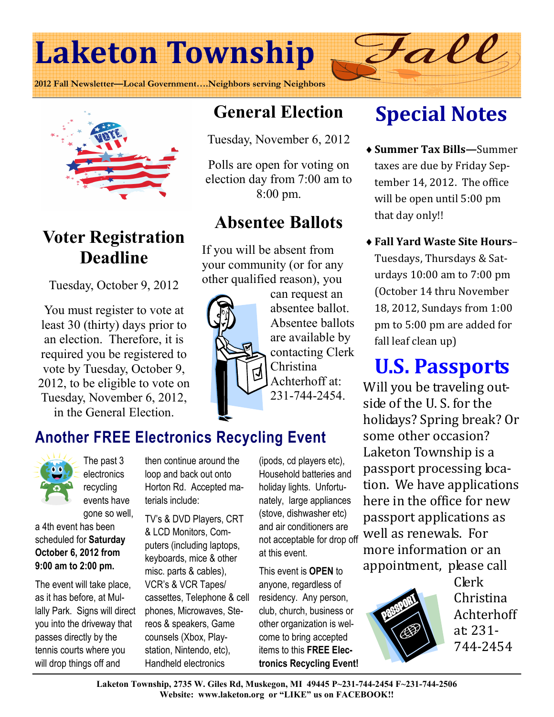# Laketon Township

2012 Fall Newsletter—Local Government….Neighbors serving Neighbors





## Voter Registration Deadline

Tuesday, October 9, 2012

You must register to vote at least 30 (thirty) days prior to an election. Therefore, it is required you be registered to vote by Tuesday, October 9, 2012, to be eligible to vote on Tuesday, November 6, 2012, in the General Election.

## General Election

Tuesday, November 6, 2012

Polls are open for voting on election day from 7:00 am to 8:00 pm.

## Absentee Ballots

If you will be absent from your community (or for any other qualified reason), you



can request an absentee ballot. Absentee ballots are available by contacting Clerk Christina Achterhoff at:

231-744-2454.

## Another FREE Electronics Recycling Event



The past 3 electronics recycling events have

gone so well, a 4th event has been scheduled for Saturday October 6, 2012 from 9:00 am to 2:00 pm.

The event will take place, as it has before, at Mullally Park. Signs will direct you into the driveway that passes directly by the tennis courts where you will drop things off and

then continue around the loop and back out onto Horton Rd. Accepted materials include:

TV's & DVD Players, CRT & LCD Monitors, Computers (including laptops, keyboards, mice & other misc. parts & cables), VCR's & VCR Tapes/ cassettes, Telephone & cell phones, Microwaves, Stereos & speakers, Game counsels (Xbox, Playstation, Nintendo, etc), Handheld electronics

(ipods, cd players etc), Household batteries and holiday lights. Unfortunately, large appliances (stove, dishwasher etc) and air conditioners are not acceptable for drop off at this event.

This event is OPEN to anyone, regardless of residency. Any person, club, church, business or other organization is welcome to bring accepted items to this FREE Electronics Recycling Event!

## Special Notes

Fall

- ♦ Summer Tax Bills—Summer taxes are due by Friday September 14, 2012. The office will be open until 5:00 pm that day only!!
- ♦ Fall Yard Waste Site Hours– Tuesdays, Thursdays & Saturdays 10:00 am to 7:00 pm (October 14 thru November 18, 2012, Sundays from 1:00 pm to 5:00 pm are added for fall leaf clean up)

## U.S. Passports

Will you be traveling outside of the U. S. for the holidays? Spring break? Or some other occasion? Laketon Township is a passport processing location. We have applications here in the office for new passport applications as well as renewals. For more information or an appointment, please call



Clerk Christina Achterhoff at: 231- 744-2454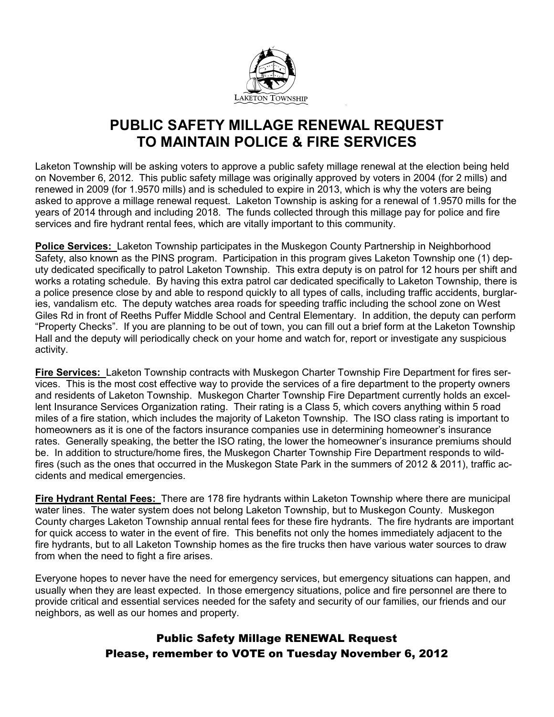

### PUBLIC SAFETY MILLAGE RENEWAL REQUEST TO MAINTAIN POLICE & FIRE SERVICES

Laketon Township will be asking voters to approve a public safety millage renewal at the election being held on November 6, 2012. This public safety millage was originally approved by voters in 2004 (for 2 mills) and renewed in 2009 (for 1.9570 mills) and is scheduled to expire in 2013, which is why the voters are being asked to approve a millage renewal request. Laketon Township is asking for a renewal of 1.9570 mills for the years of 2014 through and including 2018. The funds collected through this millage pay for police and fire services and fire hydrant rental fees, which are vitally important to this community.

Police Services: Laketon Township participates in the Muskegon County Partnership in Neighborhood Safety, also known as the PINS program. Participation in this program gives Laketon Township one (1) deputy dedicated specifically to patrol Laketon Township. This extra deputy is on patrol for 12 hours per shift and works a rotating schedule. By having this extra patrol car dedicated specifically to Laketon Township, there is a police presence close by and able to respond quickly to all types of calls, including traffic accidents, burglaries, vandalism etc. The deputy watches area roads for speeding traffic including the school zone on West Giles Rd in front of Reeths Puffer Middle School and Central Elementary. In addition, the deputy can perform "Property Checks". If you are planning to be out of town, you can fill out a brief form at the Laketon Township Hall and the deputy will periodically check on your home and watch for, report or investigate any suspicious activity.

Fire Services: Laketon Township contracts with Muskegon Charter Township Fire Department for fires services. This is the most cost effective way to provide the services of a fire department to the property owners and residents of Laketon Township. Muskegon Charter Township Fire Department currently holds an excellent Insurance Services Organization rating. Their rating is a Class 5, which covers anything within 5 road miles of a fire station, which includes the majority of Laketon Township. The ISO class rating is important to homeowners as it is one of the factors insurance companies use in determining homeowner's insurance rates. Generally speaking, the better the ISO rating, the lower the homeowner's insurance premiums should be. In addition to structure/home fires, the Muskegon Charter Township Fire Department responds to wildfires (such as the ones that occurred in the Muskegon State Park in the summers of 2012 & 2011), traffic accidents and medical emergencies.

Fire Hydrant Rental Fees: There are 178 fire hydrants within Laketon Township where there are municipal water lines. The water system does not belong Laketon Township, but to Muskegon County. Muskegon County charges Laketon Township annual rental fees for these fire hydrants. The fire hydrants are important for quick access to water in the event of fire. This benefits not only the homes immediately adjacent to the fire hydrants, but to all Laketon Township homes as the fire trucks then have various water sources to draw from when the need to fight a fire arises.

Everyone hopes to never have the need for emergency services, but emergency situations can happen, and usually when they are least expected. In those emergency situations, police and fire personnel are there to provide critical and essential services needed for the safety and security of our families, our friends and our neighbors, as well as our homes and property.

### Public Safety Millage RENEWAL Request Please, remember to VOTE on Tuesday November 6, 2012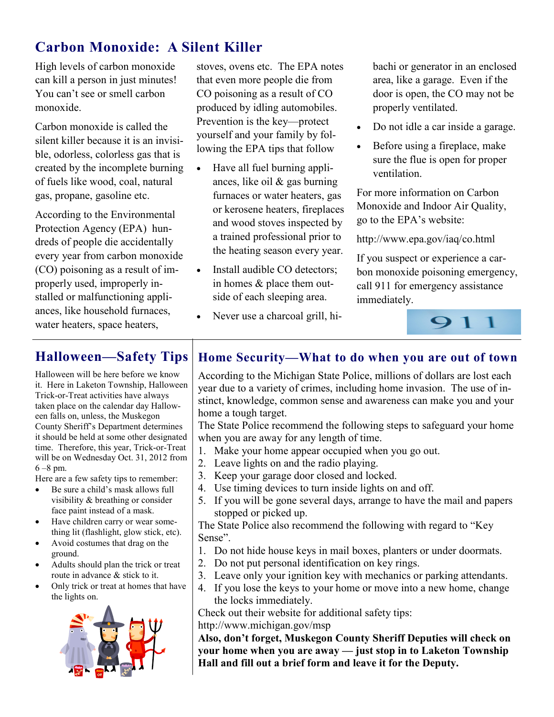### Carbon Monoxide: A Silent Killer

High levels of carbon monoxide can kill a person in just minutes! You can't see or smell carbon monoxide.

Carbon monoxide is called the silent killer because it is an invisible, odorless, colorless gas that is created by the incomplete burning of fuels like wood, coal, natural gas, propane, gasoline etc.

According to the Environmental Protection Agency (EPA) hundreds of people die accidentally every year from carbon monoxide (CO) poisoning as a result of improperly used, improperly installed or malfunctioning appliances, like household furnaces, water heaters, space heaters,

stoves, ovens etc. The EPA notes that even more people die from CO poisoning as a result of CO produced by idling automobiles. Prevention is the key—protect yourself and your family by following the EPA tips that follow

- Have all fuel burning appliances, like oil & gas burning furnaces or water heaters, gas or kerosene heaters, fireplaces and wood stoves inspected by a trained professional prior to the heating season every year.
- Install audible CO detectors; in homes & place them outside of each sleeping area.
- Never use a charcoal grill, hi-

bachi or generator in an enclosed area, like a garage. Even if the door is open, the CO may not be properly ventilated.

- Do not idle a car inside a garage.
- Before using a fireplace, make sure the flue is open for proper ventilation.

For more information on Carbon Monoxide and Indoor Air Quality, go to the EPA's website:

http://www.epa.gov/iaq/co.html

If you suspect or experience a carbon monoxide poisoning emergency, call 911 for emergency assistance immediately.



Halloween will be here before we know it. Here in Laketon Township, Halloween Trick-or-Treat activities have always taken place on the calendar day Halloween falls on, unless, the Muskegon County Sheriff's Department determines it should be held at some other designated time. Therefore, this year, Trick-or-Treat will be on Wednesday Oct. 31, 2012 from 6 –8 pm.

Here are a few safety tips to remember:

- Be sure a child's mask allows full visibility & breathing or consider face paint instead of a mask.
- Have children carry or wear something lit (flashlight, glow stick, etc).
- Avoid costumes that drag on the ground.
- Adults should plan the trick or treat route in advance & stick to it.
- Only trick or treat at homes that have the lights on.



### Halloween—Safety Tips | Home Security—What to do when you are out of town

According to the Michigan State Police, millions of dollars are lost each year due to a variety of crimes, including home invasion. The use of instinct, knowledge, common sense and awareness can make you and your home a tough target.

The State Police recommend the following steps to safeguard your home when you are away for any length of time.

- 1. Make your home appear occupied when you go out.
- 2. Leave lights on and the radio playing.
- 3. Keep your garage door closed and locked.
- 4. Use timing devices to turn inside lights on and off.
- 5. If you will be gone several days, arrange to have the mail and papers stopped or picked up.

The State Police also recommend the following with regard to "Key Sense".

- 1. Do not hide house keys in mail boxes, planters or under doormats.
- 2. Do not put personal identification on key rings.
- 3. Leave only your ignition key with mechanics or parking attendants.
- 4. If you lose the keys to your home or move into a new home, change the locks immediately.

Check out their website for additional safety tips:

http://www.michigan.gov/msp

Also, don't forget, Muskegon County Sheriff Deputies will check on your home when you are away — just stop in to Laketon Township Hall and fill out a brief form and leave it for the Deputy.